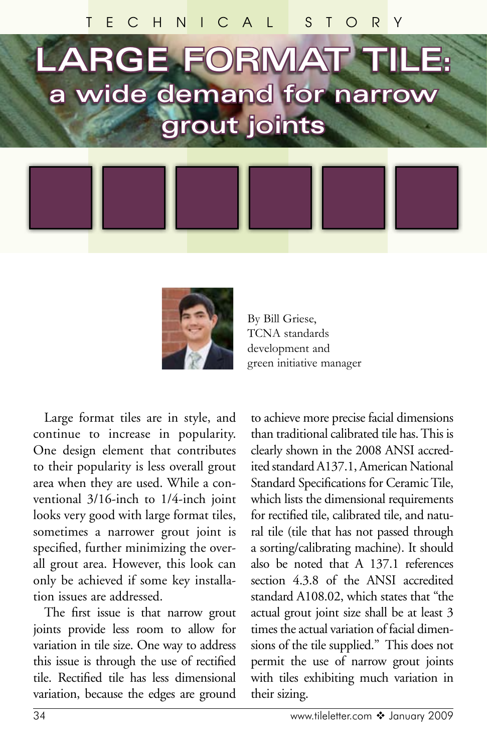# **LARGE FORMAT TILE: a wide demand for narrow grout joints**



By Bill Griese, TCNA standards development and green initiative manager

Large format tiles are in style, and continue to increase in popularity. One design element that contributes to their popularity is less overall grout area when they are used. While a conventional 3/16-inch to 1/4-inch joint looks very good with large format tiles, sometimes a narrower grout joint is specified, further minimizing the overall grout area. However, this look can only be achieved if some key installation issues are addressed.

The first issue is that narrow grout joints provide less room to allow for variation in tile size. One way to address this issue is through the use of rectified tile. Rectified tile has less dimensional variation, because the edges are ground

to achieve more precise facial dimensions than traditional calibrated tile has. This is clearly shown in the 2008 ANSI accredited standard A137.1, American National Standard Specifications for Ceramic Tile, which lists the dimensional requirements for rectified tile, calibrated tile, and natural tile (tile that has not passed through a sorting/calibrating machine). It should also be noted that A 137.1 references section 4.3.8 of the ANSI accredited standard A108.02, which states that "the actual grout joint size shall be at least 3 times the actual variation of facial dimensions of the tile supplied." This does not permit the use of narrow grout joints with tiles exhibiting much variation in their sizing.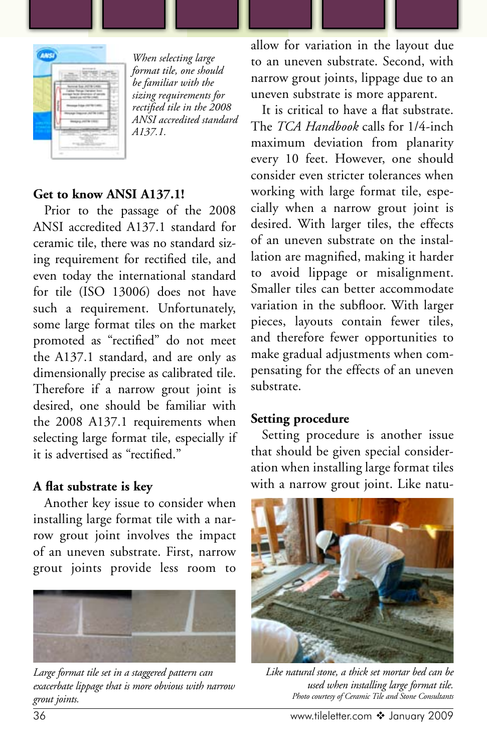

*When selecting large format tile, one should be familiar with the sizing requirements for rectified tile in the 2008 ANSI accredited standard A137.1.*

### **Get to know ANSI A137.1!**

Prior to the passage of the 2008 ANSI accredited A137.1 standard for ceramic tile, there was no standard sizing requirement for rectified tile, and even today the international standard for tile (ISO 13006) does not have such a requirement. Unfortunately, some large format tiles on the market promoted as "rectified" do not meet the A137.1 standard, and are only as dimensionally precise as calibrated tile. Therefore if a narrow grout joint is desired, one should be familiar with the 2008 A137.1 requirements when selecting large format tile, especially if it is advertised as "rectified."

#### **A flat substrate is key**

Another key issue to consider when installing large format tile with a narrow grout joint involves the impact of an uneven substrate. First, narrow grout joints provide less room to



*Large format tile set in a staggered pattern can exacerbate lippage that is more obvious with narrow grout joints.* 

allow for variation in the layout due to an uneven substrate. Second, with narrow grout joints, lippage due to an uneven substrate is more apparent.

It is critical to have a flat substrate. The *TCA Handbook* calls for 1/4-inch maximum deviation from planarity every 10 feet. However, one should consider even stricter tolerances when working with large format tile, especially when a narrow grout joint is desired. With larger tiles, the effects of an uneven substrate on the installation are magnified, making it harder to avoid lippage or misalignment. Smaller tiles can better accommodate variation in the subfloor. With larger pieces, layouts contain fewer tiles, and therefore fewer opportunities to make gradual adjustments when compensating for the effects of an uneven substrate.

#### **Setting procedure**

Setting procedure is another issue that should be given special consideration when installing large format tiles with a narrow grout joint. Like natu-



*Like natural stone, a thick set mortar bed can be used when installing large format tile. Photo courtesy of Ceramic Tile and Stone Consultants*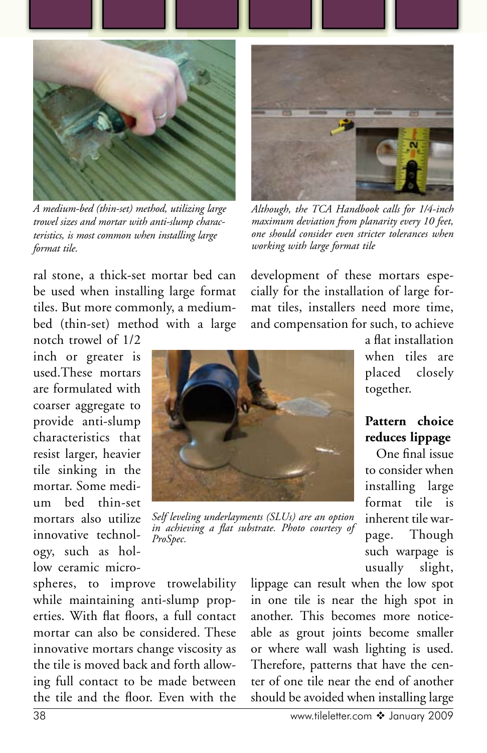

*A medium-bed (thin-set) method, utilizing large trowel sizes and mortar with anti-slump characteristics, is most common when installing large format tile.*

*Although, the TCA Handbook calls for 1/4-inch maximum deviation from planarity every 10 feet, one should consider even stricter tolerances when working with large format tile*

development of these mortars especially for the installation of large format tiles, installers need more time,

ral stone, a thick-set mortar bed can be used when installing large format tiles. But more commonly, a mediumbed (thin-set) method with a large notch trowel of 1/2

inch or greater is used.These mortars are formulated with coarser aggregate to provide anti-slump characteristics that resist larger, heavier tile sinking in the mortar. Some medium bed thin-set mortars also utilize innovative technology, such as hollow ceramic micro-

*Self leveling underlayments (SLUs) are an option in achieving a flat substrate. Photo courtesy of ProSpec.*

and compensation for such, to achieve a flat installation when tiles are placed closely together.

## **Pattern choice reduces lippage**

One final issue to consider when installing large format tile is inherent tile warpage. Though such warpage is usually slight,

spheres, to improve trowelability while maintaining anti-slump properties. With flat floors, a full contact mortar can also be considered. These innovative mortars change viscosity as the tile is moved back and forth allowing full contact to be made between the tile and the floor. Even with the

lippage can result when the low spot in one tile is near the high spot in another. This becomes more noticeable as grout joints become smaller or where wall wash lighting is used. Therefore, patterns that have the center of one tile near the end of another should be avoided when installing large